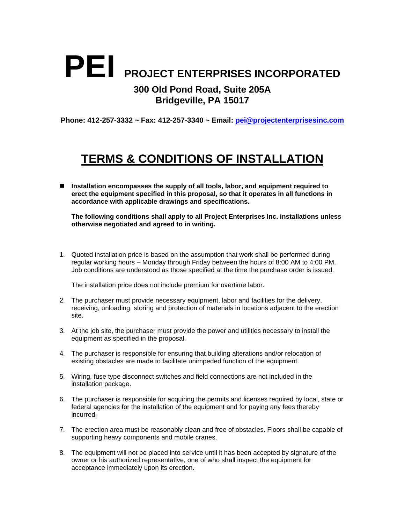## **PEI PROJECT ENTERPRISES INCORPORATED 300 Old Pond Road, Suite 205A**

**Bridgeville, PA 15017**

**Phone: 412-257-3332 ~ Fax: 412-257-3340 ~ Email: [pei@projectenterprisesinc.com](mailto:pei@projectenterprisesinc.com)**

## **TERMS & CONDITIONS OF INSTALLATION**

■ Installation encompasses the supply of all tools, labor, and equipment required to **erect the equipment specified in this proposal, so that it operates in all functions in accordance with applicable drawings and specifications.**

**The following conditions shall apply to all Project Enterprises Inc. installations unless otherwise negotiated and agreed to in writing.**

1. Quoted installation price is based on the assumption that work shall be performed during regular working hours – Monday through Friday between the hours of 8:00 AM to 4:00 PM. Job conditions are understood as those specified at the time the purchase order is issued.

The installation price does not include premium for overtime labor.

- 2. The purchaser must provide necessary equipment, labor and facilities for the delivery, receiving, unloading, storing and protection of materials in locations adjacent to the erection site.
- 3. At the job site, the purchaser must provide the power and utilities necessary to install the equipment as specified in the proposal.
- 4. The purchaser is responsible for ensuring that building alterations and/or relocation of existing obstacles are made to facilitate unimpeded function of the equipment.
- 5. Wiring, fuse type disconnect switches and field connections are not included in the installation package.
- 6. The purchaser is responsible for acquiring the permits and licenses required by local, state or federal agencies for the installation of the equipment and for paying any fees thereby incurred.
- 7. The erection area must be reasonably clean and free of obstacles. Floors shall be capable of supporting heavy components and mobile cranes.
- 8. The equipment will not be placed into service until it has been accepted by signature of the owner or his authorized representative, one of who shall inspect the equipment for acceptance immediately upon its erection.